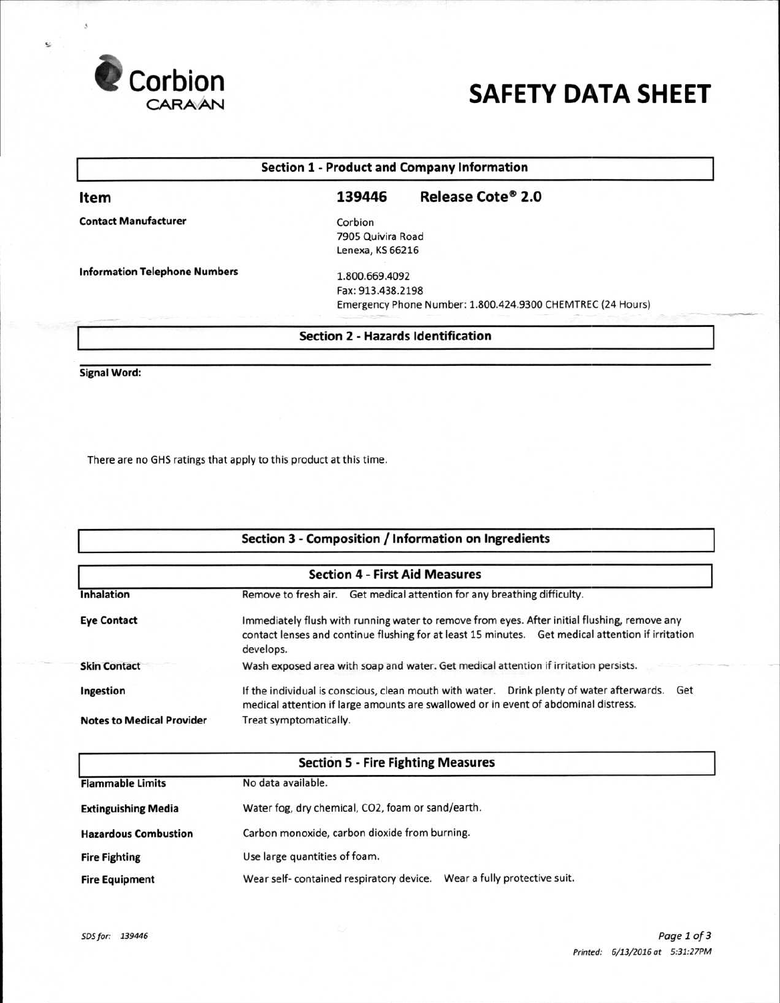

e

# **CARAAN SAFETY DATA SHEET**

| <b>Section 1 - Product and Company Information</b> |                                           |                                                            |  |  |
|----------------------------------------------------|-------------------------------------------|------------------------------------------------------------|--|--|
| ltem                                               | 139446                                    | Release Cote® 2.0                                          |  |  |
| <b>Contact Manufacturer</b>                        | Corbion                                   |                                                            |  |  |
|                                                    | 7905 Quivira Road                         |                                                            |  |  |
|                                                    | Lenexa, KS 66216                          |                                                            |  |  |
| <b>Information Telephone Numbers</b>               | 1.800.669.4092                            |                                                            |  |  |
|                                                    | Fax: 913.438.2198                         |                                                            |  |  |
|                                                    |                                           | Emergency Phone Number: 1.800.424.9300 CHEMTREC (24 Hours) |  |  |
|                                                    |                                           |                                                            |  |  |
|                                                    | <b>Section 2 - Hazards Identification</b> |                                                            |  |  |

**Signal Word:** 

There are no GHS ratings that apply to this product at this time.

|                                       | Section 3 - Composition / Information on Ingredients                                                                                                                                                           |  |  |  |  |
|---------------------------------------|----------------------------------------------------------------------------------------------------------------------------------------------------------------------------------------------------------------|--|--|--|--|
| <b>Section 4 - First Aid Measures</b> |                                                                                                                                                                                                                |  |  |  |  |
| <b>Inhalation</b>                     | Remove to fresh air. Get medical attention for any breathing difficulty.                                                                                                                                       |  |  |  |  |
| <b>Eye Contact</b>                    | Immediately flush with running water to remove from eyes. After initial flushing, remove any<br>contact lenses and continue flushing for at least 15 minutes. Get medical attention if irritation<br>develops. |  |  |  |  |
| <b>Skin Contact</b>                   | Wash exposed area with soap and water. Get medical attention if irritation persists.                                                                                                                           |  |  |  |  |
| Ingestion                             | If the individual is conscious, clean mouth with water.  Drink plenty of water afterwards.<br>Get<br>medical attention if large amounts are swallowed or in event of abdominal distress.                       |  |  |  |  |
| <b>Notes to Medical Provider</b>      | Treat symptomatically.                                                                                                                                                                                         |  |  |  |  |

| <b>Section 5 - Fire Fighting Measures</b> |                                                                          |  |  |  |
|-------------------------------------------|--------------------------------------------------------------------------|--|--|--|
| <b>Flammable Limits</b>                   | No data available.                                                       |  |  |  |
| <b>Extinguishing Media</b>                | Water fog, dry chemical, CO2, foam or sand/earth.                        |  |  |  |
| <b>Hazardous Combustion</b>               | Carbon monoxide, carbon dioxide from burning.                            |  |  |  |
| <b>Fire Fighting</b>                      | Use large quantities of foam.                                            |  |  |  |
| <b>Fire Equipment</b>                     | Wear a fully protective suit.<br>Wear self-contained respiratory device. |  |  |  |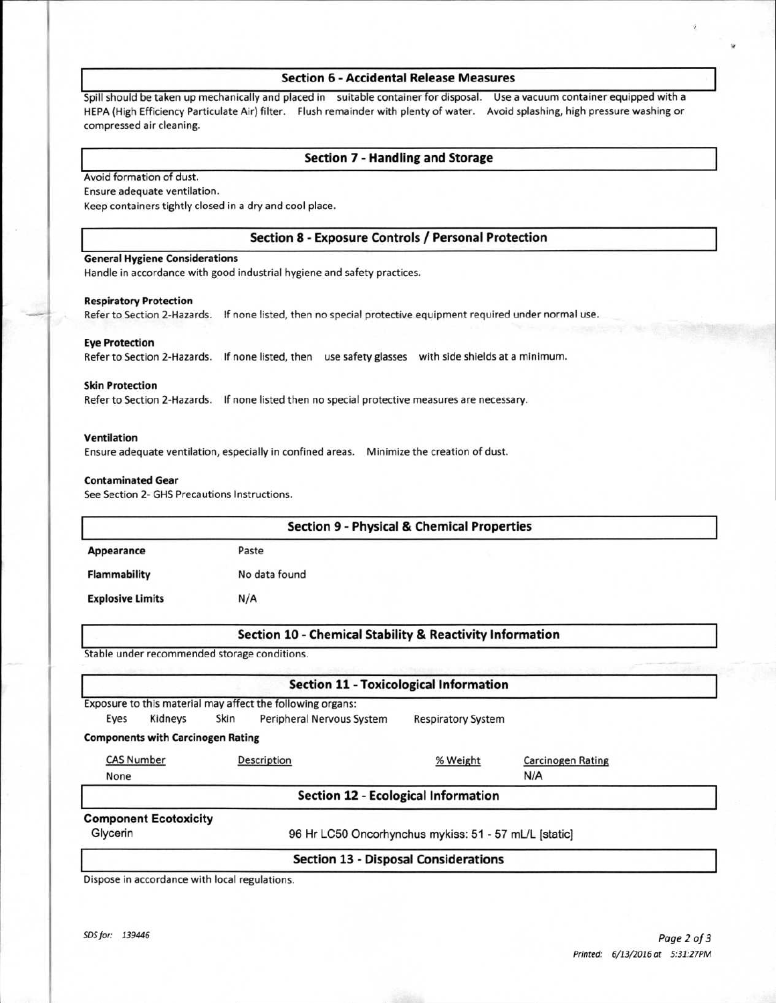## **Section 6 - Accidental Release Measures**

Spill should be taken up mechanically and placed in suitable container for disposal. Use a vacuum container equipped with a HEPA (High Efficiency Particulate Air) filter. Flush remainder with plenty of water. Avoid splashing, high pressure washing or compressed air cleaning.

# **Section 7 - Handling and Storage**

Avoid formation of dust.

Ensure adequate ventilation.

Keep containers tightly closed in a dry and cool place.

## **Section 8 - Exposure Controls / Personal Protection**

## **General Hygiene Considerations**

Handle in accordance with good industrial hygiene and safety practices.

#### **Respiratory Protection**

Refer to Section 2-Hazards. If none listed, then no special protective equipment required under normal use.

## **Eye Protection**

Refer to Section 2-Hazards. If none listed, then use safety glasses with side shields at a minimum.

## **Skin Protection**

Refer to Section 2-Hazards. If none listed then no special protective measures are necessary.

#### **Ventilation**

Ensure adequate ventilation, especially in confined areas. Minimize the creation of dust.

### **Contaminated Gear**

See Section 2- GHS Precautions Instructions.

|                                              |      | <b>Section 9 - Physical &amp; Chemical Properties</b>      |                           |                          |  |
|----------------------------------------------|------|------------------------------------------------------------|---------------------------|--------------------------|--|
| Appearance                                   |      | Paste                                                      |                           |                          |  |
| <b>Flammability</b>                          |      | No data found                                              |                           |                          |  |
| <b>Explosive Limits</b>                      |      | N/A                                                        |                           |                          |  |
|                                              |      | Section 10 - Chemical Stability & Reactivity Information   |                           |                          |  |
| Stable under recommended storage conditions. |      |                                                            |                           |                          |  |
|                                              |      | <b>Section 11 - Toxicological Information</b>              |                           |                          |  |
|                                              |      | Exposure to this material may affect the following organs: |                           |                          |  |
| Eyes<br>Kidneys                              | Skin | Peripheral Nervous System                                  | <b>Respiratory System</b> |                          |  |
| <b>Components with Carcinogen Rating</b>     |      |                                                            |                           |                          |  |
| <b>CAS Number</b>                            |      | Description                                                | % Weight                  | <b>Carcinogen Rating</b> |  |
| None                                         |      |                                                            |                           | N/A                      |  |
|                                              |      | <b>Section 12 - Ecological Information</b>                 |                           |                          |  |
| <b>Component Ecotoxicity</b>                 |      |                                                            |                           |                          |  |
| Glycerin                                     |      | 96 Hr LC50 Oncorhynchus mykiss: 51 - 57 mL/L [static]      |                           |                          |  |
|                                              |      | <b>Section 13 - Disposal Considerations</b>                |                           |                          |  |

Dispose in accordance with local regulations.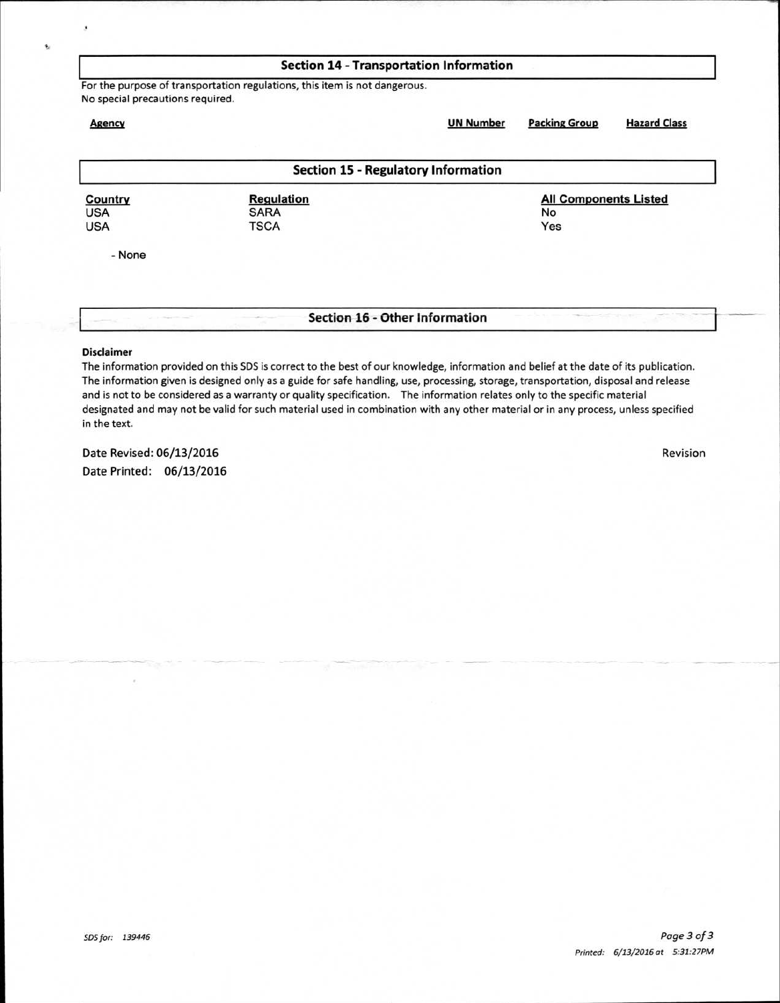| <b>Section 14 - Transportation Information</b> |                                                                            |                                            |                              |                     |  |
|------------------------------------------------|----------------------------------------------------------------------------|--------------------------------------------|------------------------------|---------------------|--|
| No special precautions required.               | For the purpose of transportation regulations, this item is not dangerous. |                                            |                              |                     |  |
| <b>Agency</b>                                  |                                                                            | <b>UN Number</b>                           | <b>Packing Group</b>         | <b>Hazard Class</b> |  |
|                                                |                                                                            | <b>Section 15 - Regulatory Information</b> |                              |                     |  |
| Country                                        | <b>Regulation</b>                                                          |                                            | <b>All Components Listed</b> |                     |  |
| <b>USA</b><br><b>USA</b>                       | <b>SARA</b><br><b>TSCA</b>                                                 |                                            | No<br>Yes                    |                     |  |
| - None                                         |                                                                            |                                            |                              |                     |  |
|                                                |                                                                            |                                            |                              |                     |  |
|                                                |                                                                            | Section 16 - Other Information             |                              |                     |  |

### **Disclaimer**

The information provided on this SOS is correct to the best of our knowledge, information and belief at the date of its publication. The information given is designed only as a guide for safe handling, use, processing, storage, transportation, disposal and release and is not to be considered as a warranty or quality specification. The information relates only to the specific material designated and may not be valid for such material used in combination with any other material or in any process, unless specified in the text.

Date Revised: 06/13/2016 Revision Date Printed: 06/13/2016